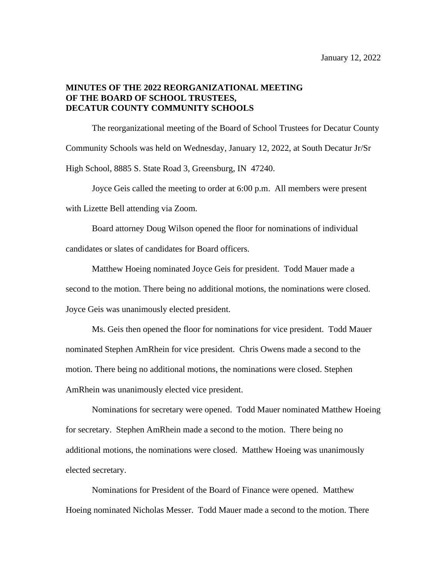## **MINUTES OF THE 2022 REORGANIZATIONAL MEETING OF THE BOARD OF SCHOOL TRUSTEES, DECATUR COUNTY COMMUNITY SCHOOLS**

The reorganizational meeting of the Board of School Trustees for Decatur County Community Schools was held on Wednesday, January 12, 2022, at South Decatur Jr/Sr High School, 8885 S. State Road 3, Greensburg, IN 47240.

Joyce Geis called the meeting to order at 6:00 p.m. All members were present with Lizette Bell attending via Zoom.

Board attorney Doug Wilson opened the floor for nominations of individual candidates or slates of candidates for Board officers.

Matthew Hoeing nominated Joyce Geis for president. Todd Mauer made a second to the motion. There being no additional motions, the nominations were closed. Joyce Geis was unanimously elected president.

Ms. Geis then opened the floor for nominations for vice president. Todd Mauer nominated Stephen AmRhein for vice president. Chris Owens made a second to the motion. There being no additional motions, the nominations were closed. Stephen AmRhein was unanimously elected vice president.

Nominations for secretary were opened. Todd Mauer nominated Matthew Hoeing for secretary. Stephen AmRhein made a second to the motion. There being no additional motions, the nominations were closed. Matthew Hoeing was unanimously elected secretary.

Nominations for President of the Board of Finance were opened. Matthew Hoeing nominated Nicholas Messer. Todd Mauer made a second to the motion. There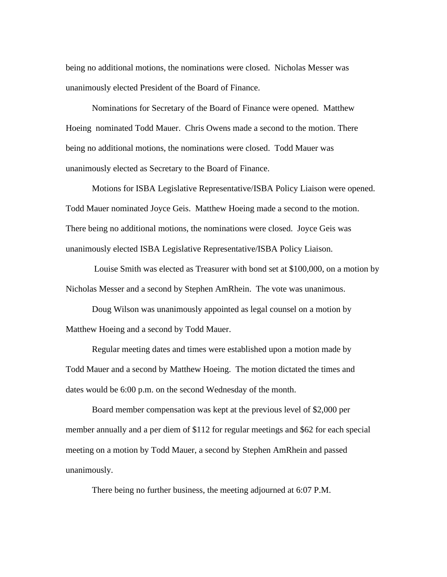being no additional motions, the nominations were closed. Nicholas Messer was unanimously elected President of the Board of Finance.

Nominations for Secretary of the Board of Finance were opened. Matthew Hoeing nominated Todd Mauer. Chris Owens made a second to the motion. There being no additional motions, the nominations were closed. Todd Mauer was unanimously elected as Secretary to the Board of Finance.

Motions for ISBA Legislative Representative/ISBA Policy Liaison were opened. Todd Mauer nominated Joyce Geis. Matthew Hoeing made a second to the motion. There being no additional motions, the nominations were closed. Joyce Geis was unanimously elected ISBA Legislative Representative/ISBA Policy Liaison.

Louise Smith was elected as Treasurer with bond set at \$100,000, on a motion by Nicholas Messer and a second by Stephen AmRhein. The vote was unanimous.

Doug Wilson was unanimously appointed as legal counsel on a motion by Matthew Hoeing and a second by Todd Mauer.

Regular meeting dates and times were established upon a motion made by Todd Mauer and a second by Matthew Hoeing. The motion dictated the times and dates would be 6:00 p.m. on the second Wednesday of the month.

Board member compensation was kept at the previous level of \$2,000 per member annually and a per diem of \$112 for regular meetings and \$62 for each special meeting on a motion by Todd Mauer, a second by Stephen AmRhein and passed unanimously.

There being no further business, the meeting adjourned at 6:07 P.M.